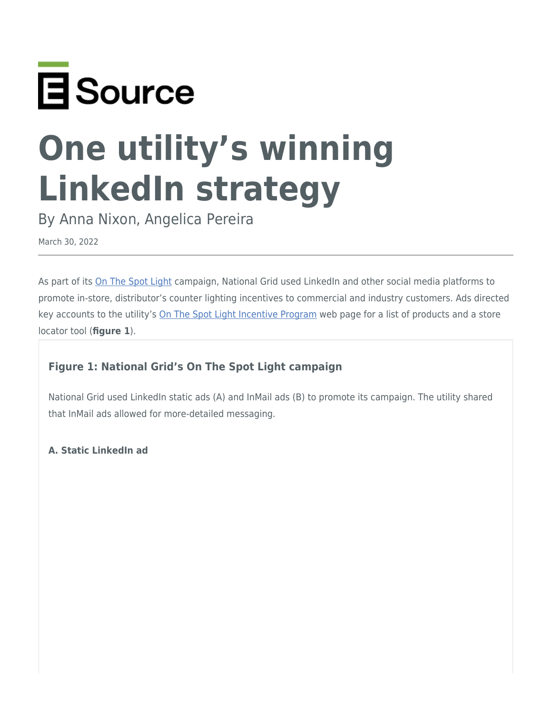

# **One utility's winning LinkedIn strategy**

By Anna Nixon, Angelica Pereira

March 30, 2022

As part of its [On The Spot Light](https://energyadvision.esource.com/reports/ads-by-campaign-id/44958?field_contest_id_value=26) campaign, National Grid used LinkedIn and other social media platforms to promote in-store, distributor's counter lighting incentives to commercial and industry customers. Ads directed key accounts to the utility's [On The Spot Light Incentive Program](https://www.nationalgridus.com/On-The-Spot) web page for a list of products and a store locator tool (**figure 1**).

# **Figure 1: National Grid's On The Spot Light campaign**

National Grid used LinkedIn static ads (A) and InMail ads (B) to promote its campaign. The utility shared that InMail ads allowed for more-detailed messaging.

**A. Static LinkedIn ad**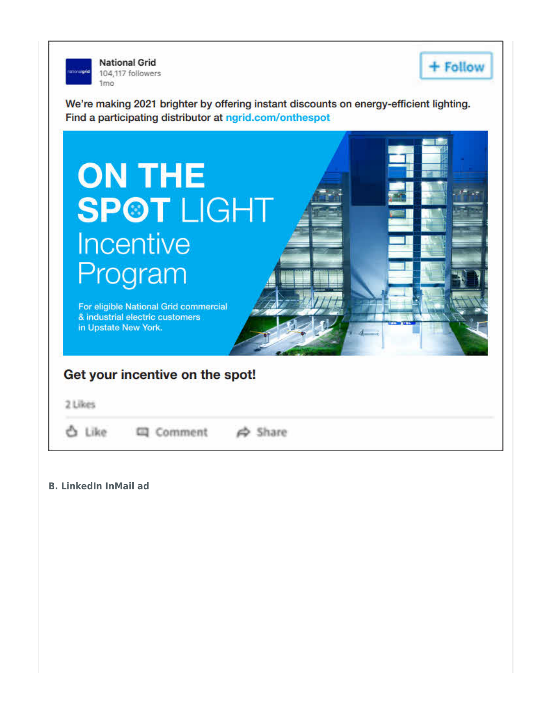

**National Grid** 104,117 followers 1<sub>mo</sub>



We're making 2021 brighter by offering instant discounts on energy-efficient lighting. Find a participating distributor at ngrid.com/onthespot



**B. LinkedIn InMail ad**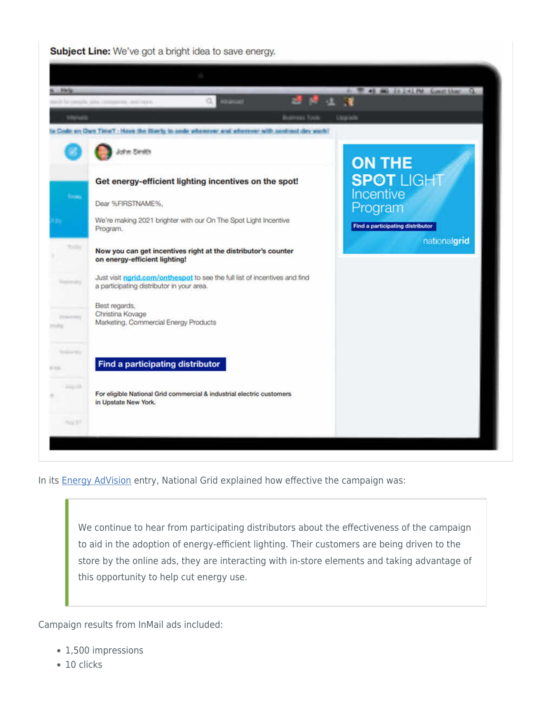Subject Line: We've got a bright idea to save energy.



In its **Energy AdVision** entry, National Grid explained how effective the campaign was:

We continue to hear from participating distributors about the effectiveness of the campaign to aid in the adoption of energy-efficient lighting. Their customers are being driven to the store by the online ads, they are interacting with in-store elements and taking advantage of this opportunity to help cut energy use.

Campaign results from InMail ads included:

- 1,500 impressions
- $\cdot$  10 clicks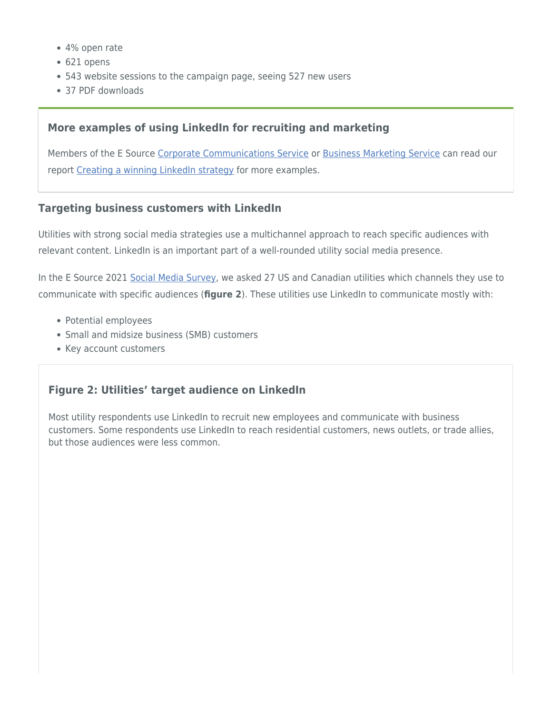- 4% open rate
- 621 opens
- 543 website sessions to the campaign page, seeing 527 new users
- 37 PDF downloads

#### **More examples of using LinkedIn for recruiting and marketing**

Members of the E Source [Corporate Communications Service](https://www.esource.com/corporate-communications-service-membership) or [Business Marketing Service](https://www.esource.com/business-marketing-service-membership) can read our report [Creating a winning LinkedIn strategy](https://www.esource.com/report/126221hvdh/create-winning-linkedin-strategy) for more examples.

#### **Targeting business customers with LinkedIn**

Utilities with strong social media strategies use a multichannel approach to reach specific audiences with relevant content. LinkedIn is an important part of a well-rounded utility social media presence.

In the E Source 2021 [Social Media Survey,](https://www.esource.com/social-media-survey) we asked 27 US and Canadian utilities which channels they use to communicate with specific audiences (**figure 2**). These utilities use LinkedIn to communicate mostly with:

- Potential employees
- Small and midsize business (SMB) customers
- Key account customers

## **Figure 2: Utilities' target audience on LinkedIn**

Most utility respondents use LinkedIn to recruit new employees and communicate with business customers. Some respondents use LinkedIn to reach residential customers, news outlets, or trade allies, but those audiences were less common.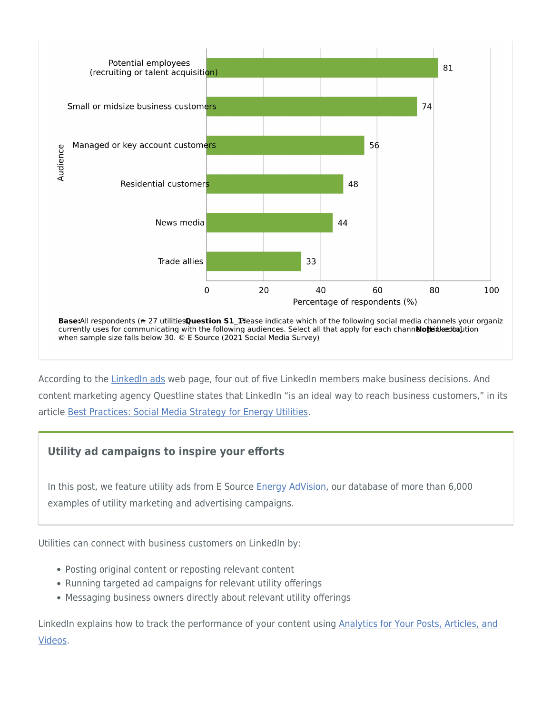

currently uses for communicating with the following audiences. Select all that apply for each channelote the section when sample size falls below 30. © E Source (2021 Social Media Survey)

According to the [LinkedIn ads](https://business.linkedin.com/marketing-solutions/cx/17/06/advertise-on-linkedin) web page, four out of five LinkedIn members make business decisions. And content marketing agency Questline states that LinkedIn "is an ideal way to reach business customers," in its article [Best Practices: Social Media Strategy for Energy Utilities.](https://www.questline.com/blog/social-media-strategy-energy-utilities/)

## **Utility ad campaigns to inspire your efforts**

In this post, we feature utility ads from E Source [Energy AdVision,](https://www.esource.com/about-energyadvision) our database of more than 6,000 examples of utility marketing and advertising campaigns.

Utilities can connect with business customers on LinkedIn by:

- Posting original content or reposting relevant content
- Running targeted ad campaigns for relevant utility offerings
- Messaging business owners directly about relevant utility offerings

LinkedIn explains how to track the performance of your content using [Analytics for Your Posts, Articles, and](https://www.linkedin.com/help/linkedin/answer/a516971) [Videos](https://www.linkedin.com/help/linkedin/answer/a516971).